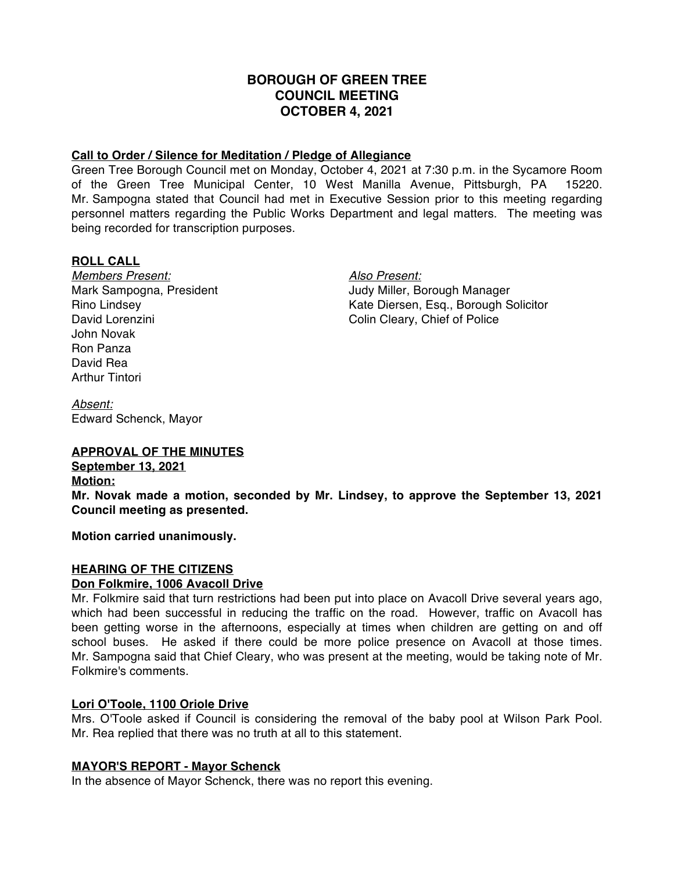# **BOROUGH OF GREEN TREE COUNCIL MEETING OCTOBER 4, 2021**

### **Call to Order / Silence for Meditation / Pledge of Allegiance**

Green Tree Borough Council met on Monday, October 4, 2021 at 7:30 p.m. in the Sycamore Room of the Green Tree Municipal Center, 10 West Manilla Avenue, Pittsburgh, PA 15220. Mr. Sampogna stated that Council had met in Executive Session prior to this meeting regarding personnel matters regarding the Public Works Department and legal matters. The meeting was being recorded for transcription purposes.

# **ROLL CALL**

*Members Present: Also Present:* David Lorenzini **Collin Cleary**, Chief of Police John Novak Ron Panza David Rea Arthur Tintori

Mark Sampogna, President The Controller Hudder Judy Miller, Borough Manager Rino Lindsey Kate Diersen, Esq., Borough Solicitor

*Absent:* Edward Schenck, Mayor

# **APPROVAL OF THE MINUTES**

**September 13, 2021 Motion: Mr. Novak made a motion, seconded by Mr. Lindsey, to approve the September 13, 2021 Council meeting as presented.**

**Motion carried unanimously.**

# **HEARING OF THE CITIZENS**

# **Don Folkmire, 1006 Avacoll Drive**

Mr. Folkmire said that turn restrictions had been put into place on Avacoll Drive several years ago, which had been successful in reducing the traffic on the road. However, traffic on Avacoll has been getting worse in the afternoons, especially at times when children are getting on and off school buses. He asked if there could be more police presence on Avacoll at those times. Mr. Sampogna said that Chief Cleary, who was present at the meeting, would be taking note of Mr. Folkmire's comments.

# **Lori O'Toole, 1100 Oriole Drive**

Mrs. O'Toole asked if Council is considering the removal of the baby pool at Wilson Park Pool. Mr. Rea replied that there was no truth at all to this statement.

# **MAYOR'S REPORT - Mayor Schenck**

In the absence of Mayor Schenck, there was no report this evening.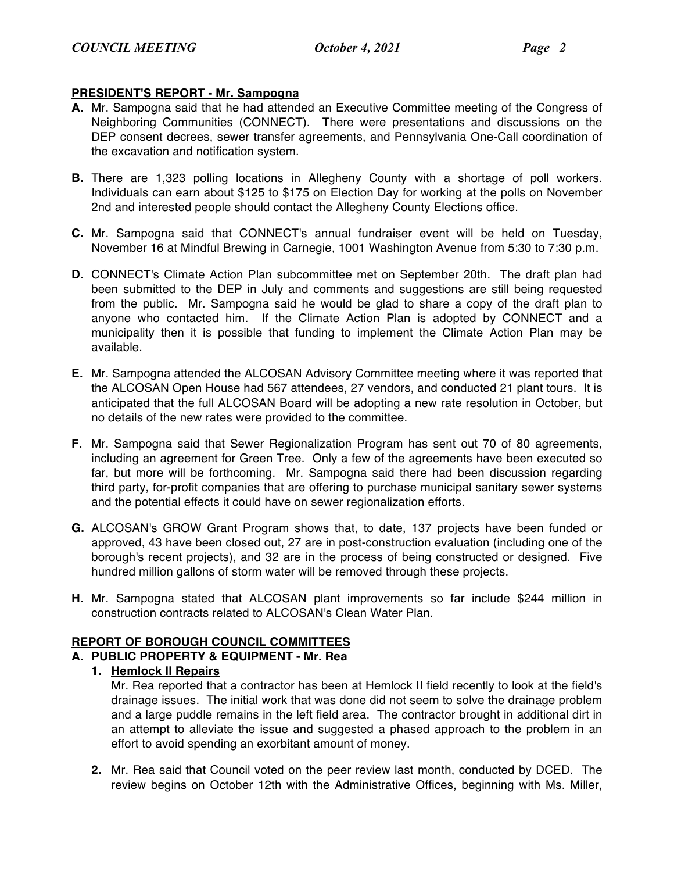# **PRESIDENT'S REPORT - Mr. Sampogna**

- **A.** Mr. Sampogna said that he had attended an Executive Committee meeting of the Congress of Neighboring Communities (CONNECT). There were presentations and discussions on the DEP consent decrees, sewer transfer agreements, and Pennsylvania One-Call coordination of the excavation and notification system.
- **B.** There are 1,323 polling locations in Allegheny County with a shortage of poll workers. Individuals can earn about \$125 to \$175 on Election Day for working at the polls on November 2nd and interested people should contact the Allegheny County Elections office.
- **C.** Mr. Sampogna said that CONNECT's annual fundraiser event will be held on Tuesday, November 16 at Mindful Brewing in Carnegie, 1001 Washington Avenue from 5:30 to 7:30 p.m.
- **D.** CONNECT's Climate Action Plan subcommittee met on September 20th. The draft plan had been submitted to the DEP in July and comments and suggestions are still being requested from the public. Mr. Sampogna said he would be glad to share a copy of the draft plan to anyone who contacted him. If the Climate Action Plan is adopted by CONNECT and a municipality then it is possible that funding to implement the Climate Action Plan may be available.
- **E.** Mr. Sampogna attended the ALCOSAN Advisory Committee meeting where it was reported that the ALCOSAN Open House had 567 attendees, 27 vendors, and conducted 21 plant tours. It is anticipated that the full ALCOSAN Board will be adopting a new rate resolution in October, but no details of the new rates were provided to the committee.
- **F.** Mr. Sampogna said that Sewer Regionalization Program has sent out 70 of 80 agreements, including an agreement for Green Tree. Only a few of the agreements have been executed so far, but more will be forthcoming. Mr. Sampogna said there had been discussion regarding third party, for-profit companies that are offering to purchase municipal sanitary sewer systems and the potential effects it could have on sewer regionalization efforts.
- **G.** ALCOSAN's GROW Grant Program shows that, to date, 137 projects have been funded or approved, 43 have been closed out, 27 are in post-construction evaluation (including one of the borough's recent projects), and 32 are in the process of being constructed or designed. Five hundred million gallons of storm water will be removed through these projects.
- **H.** Mr. Sampogna stated that ALCOSAN plant improvements so far include \$244 million in construction contracts related to ALCOSAN's Clean Water Plan.

# **REPORT OF BOROUGH COUNCIL COMMITTEES**

# **A. PUBLIC PROPERTY & EQUIPMENT - Mr. Rea**

**1. Hemlock II Repairs**

Mr. Rea reported that a contractor has been at Hemlock II field recently to look at the field's drainage issues. The initial work that was done did not seem to solve the drainage problem and a large puddle remains in the left field area. The contractor brought in additional dirt in an attempt to alleviate the issue and suggested a phased approach to the problem in an effort to avoid spending an exorbitant amount of money.

**2.** Mr. Rea said that Council voted on the peer review last month, conducted by DCED. The review begins on October 12th with the Administrative Offices, beginning with Ms. Miller,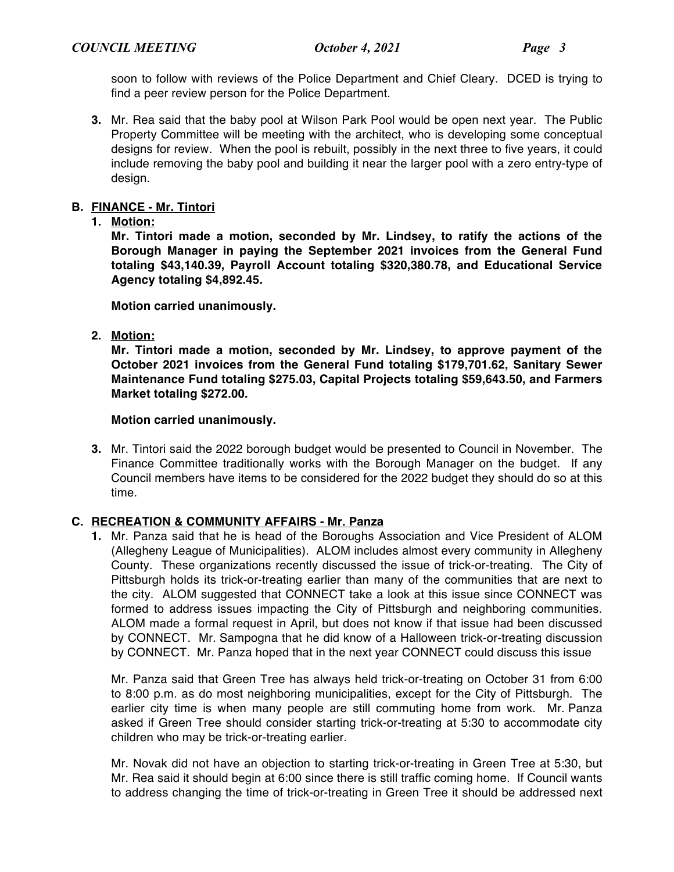soon to follow with reviews of the Police Department and Chief Cleary. DCED is trying to find a peer review person for the Police Department.

**3.** Mr. Rea said that the baby pool at Wilson Park Pool would be open next year. The Public Property Committee will be meeting with the architect, who is developing some conceptual designs for review. When the pool is rebuilt, possibly in the next three to five years, it could include removing the baby pool and building it near the larger pool with a zero entry-type of design.

# **B. FINANCE - Mr. Tintori**

**1. Motion:**

**Mr. Tintori made a motion, seconded by Mr. Lindsey, to ratify the actions of the Borough Manager in paying the September 2021 invoices from the General Fund totaling \$43,140.39, Payroll Account totaling \$320,380.78, and Educational Service Agency totaling \$4,892.45.**

**Motion carried unanimously.**

**2. Motion:**

**Mr. Tintori made a motion, seconded by Mr. Lindsey, to approve payment of the October 2021 invoices from the General Fund totaling \$179,701.62, Sanitary Sewer Maintenance Fund totaling \$275.03, Capital Projects totaling \$59,643.50, and Farmers Market totaling \$272.00.**

# **Motion carried unanimously.**

**3.** Mr. Tintori said the 2022 borough budget would be presented to Council in November. The Finance Committee traditionally works with the Borough Manager on the budget. If any Council members have items to be considered for the 2022 budget they should do so at this time.

# **C. RECREATION & COMMUNITY AFFAIRS - Mr. Panza**

**1.** Mr. Panza said that he is head of the Boroughs Association and Vice President of ALOM (Allegheny League of Municipalities). ALOM includes almost every community in Allegheny County. These organizations recently discussed the issue of trick-or-treating. The City of Pittsburgh holds its trick-or-treating earlier than many of the communities that are next to the city. ALOM suggested that CONNECT take a look at this issue since CONNECT was formed to address issues impacting the City of Pittsburgh and neighboring communities. ALOM made a formal request in April, but does not know if that issue had been discussed by CONNECT. Mr. Sampogna that he did know of a Halloween trick-or-treating discussion by CONNECT. Mr. Panza hoped that in the next year CONNECT could discuss this issue

Mr. Panza said that Green Tree has always held trick-or-treating on October 31 from 6:00 to 8:00 p.m. as do most neighboring municipalities, except for the City of Pittsburgh. The earlier city time is when many people are still commuting home from work. Mr. Panza asked if Green Tree should consider starting trick-or-treating at 5:30 to accommodate city children who may be trick-or-treating earlier.

Mr. Novak did not have an objection to starting trick-or-treating in Green Tree at 5:30, but Mr. Rea said it should begin at 6:00 since there is still traffic coming home. If Council wants to address changing the time of trick-or-treating in Green Tree it should be addressed next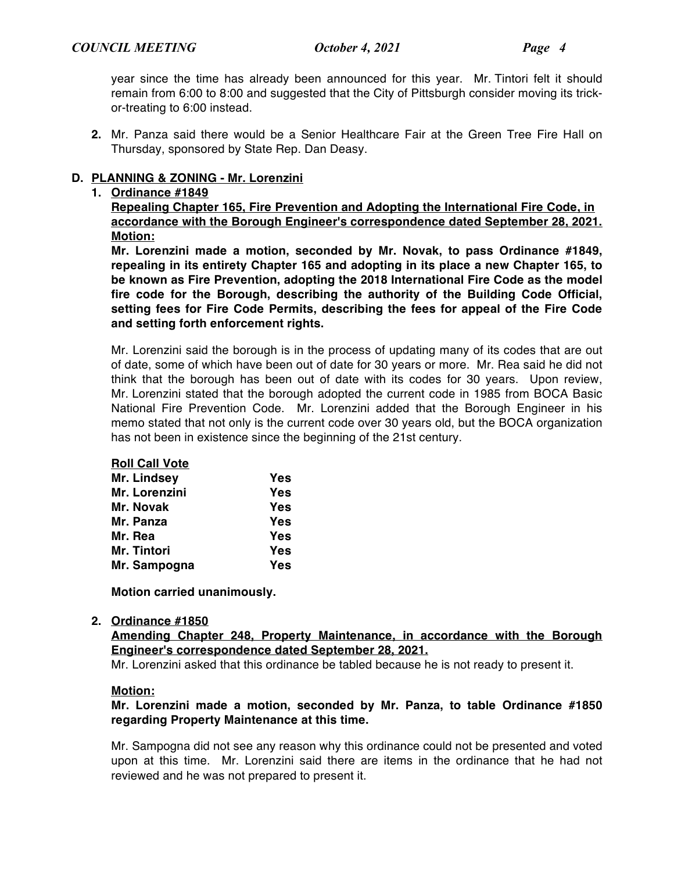year since the time has already been announced for this year. Mr. Tintori felt it should remain from 6:00 to 8:00 and suggested that the City of Pittsburgh consider moving its trickor-treating to 6:00 instead.

**2.** Mr. Panza said there would be a Senior Healthcare Fair at the Green Tree Fire Hall on Thursday, sponsored by State Rep. Dan Deasy.

# **D. PLANNING & ZONING - Mr. Lorenzini**

#### **1. Ordinance #1849**

**Repealing Chapter 165, Fire Prevention and Adopting the International Fire Code, in accordance with the Borough Engineer's correspondence dated September 28, 2021. Motion:**

**Mr. Lorenzini made a motion, seconded by Mr. Novak, to pass Ordinance #1849, repealing in its entirety Chapter 165 and adopting in its place a new Chapter 165, to be known as Fire Prevention, adopting the 2018 International Fire Code as the model fire code for the Borough, describing the authority of the Building Code Official, setting fees for Fire Code Permits, describing the fees for appeal of the Fire Code and setting forth enforcement rights.**

Mr. Lorenzini said the borough is in the process of updating many of its codes that are out of date, some of which have been out of date for 30 years or more. Mr. Rea said he did not think that the borough has been out of date with its codes for 30 years. Upon review, Mr. Lorenzini stated that the borough adopted the current code in 1985 from BOCA Basic National Fire Prevention Code. Mr. Lorenzini added that the Borough Engineer in his memo stated that not only is the current code over 30 years old, but the BOCA organization has not been in existence since the beginning of the 21st century.

#### **Roll Call Vote**

| Mr. Lindsey   | Yes |
|---------------|-----|
| Mr. Lorenzini | Yes |
| Mr. Novak     | Yes |
| Mr. Panza     | Yes |
| Mr. Rea       | Yes |
| Mr. Tintori   | Yes |
| Mr. Sampogna  | Yes |

**Motion carried unanimously.**

#### **2. Ordinance #1850**

**Amending Chapter 248, Property Maintenance, in accordance with the Borough Engineer's correspondence dated September 28, 2021.**

Mr. Lorenzini asked that this ordinance be tabled because he is not ready to present it.

#### **Motion:**

# **Mr. Lorenzini made a motion, seconded by Mr. Panza, to table Ordinance #1850 regarding Property Maintenance at this time.**

Mr. Sampogna did not see any reason why this ordinance could not be presented and voted upon at this time. Mr. Lorenzini said there are items in the ordinance that he had not reviewed and he was not prepared to present it.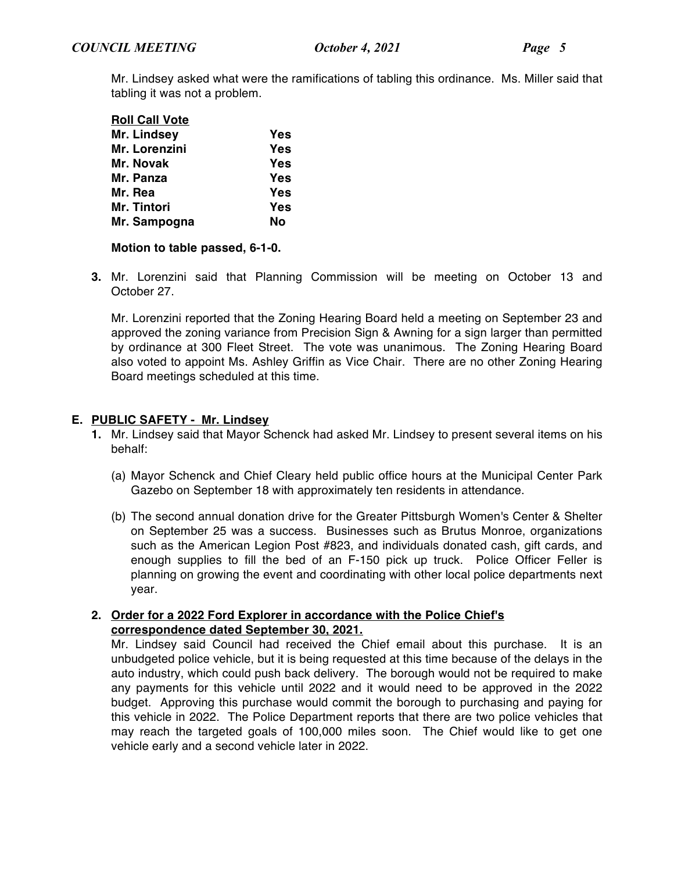Mr. Lindsey asked what were the ramifications of tabling this ordinance. Ms. Miller said that tabling it was not a problem.

| <b>Roll Call Vote</b> |            |
|-----------------------|------------|
| Mr. Lindsey           | <b>Yes</b> |
| Mr. Lorenzini         | Yes        |
| Mr. Novak             | <b>Yes</b> |
| Mr. Panza             | <b>Yes</b> |
| Mr. Rea               | Yes        |
| Mr. Tintori           | <b>Yes</b> |
| Mr. Sampogna          | No         |

#### **Motion to table passed, 6-1-0.**

**3.** Mr. Lorenzini said that Planning Commission will be meeting on October 13 and October 27.

Mr. Lorenzini reported that the Zoning Hearing Board held a meeting on September 23 and approved the zoning variance from Precision Sign & Awning for a sign larger than permitted by ordinance at 300 Fleet Street. The vote was unanimous. The Zoning Hearing Board also voted to appoint Ms. Ashley Griffin as Vice Chair. There are no other Zoning Hearing Board meetings scheduled at this time.

### **E. PUBLIC SAFETY - Mr. Lindsey**

- **1.** Mr. Lindsey said that Mayor Schenck had asked Mr. Lindsey to present several items on his behalf:
	- (a) Mayor Schenck and Chief Cleary held public office hours at the Municipal Center Park Gazebo on September 18 with approximately ten residents in attendance.
	- (b) The second annual donation drive for the Greater Pittsburgh Women's Center & Shelter on September 25 was a success. Businesses such as Brutus Monroe, organizations such as the American Legion Post #823, and individuals donated cash, gift cards, and enough supplies to fill the bed of an F-150 pick up truck. Police Officer Feller is planning on growing the event and coordinating with other local police departments next year.

# **2. Order for a 2022 Ford Explorer in accordance with the Police Chief's correspondence dated September 30, 2021.**

Mr. Lindsey said Council had received the Chief email about this purchase. It is an unbudgeted police vehicle, but it is being requested at this time because of the delays in the auto industry, which could push back delivery. The borough would not be required to make any payments for this vehicle until 2022 and it would need to be approved in the 2022 budget. Approving this purchase would commit the borough to purchasing and paying for this vehicle in 2022. The Police Department reports that there are two police vehicles that may reach the targeted goals of 100,000 miles soon. The Chief would like to get one vehicle early and a second vehicle later in 2022.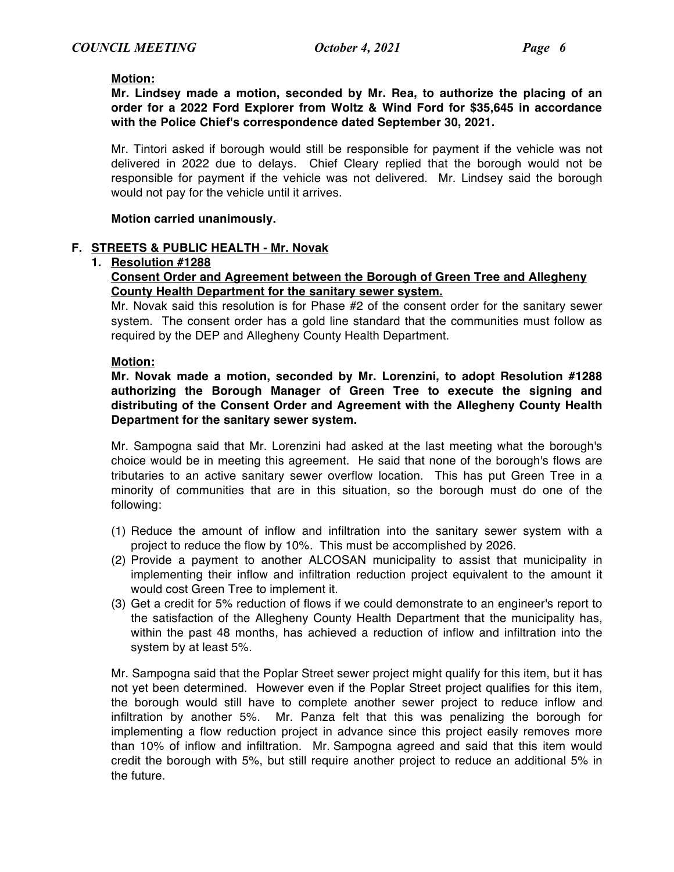### **Motion:**

**Mr. Lindsey made a motion, seconded by Mr. Rea, to authorize the placing of an order for a 2022 Ford Explorer from Woltz & Wind Ford for \$35,645 in accordance with the Police Chief's correspondence dated September 30, 2021.**

Mr. Tintori asked if borough would still be responsible for payment if the vehicle was not delivered in 2022 due to delays. Chief Cleary replied that the borough would not be responsible for payment if the vehicle was not delivered. Mr. Lindsey said the borough would not pay for the vehicle until it arrives.

### **Motion carried unanimously.**

### **F. STREETS & PUBLIC HEALTH - Mr. Novak**

#### **1. Resolution #1288**

### **Consent Order and Agreement between the Borough of Green Tree and Allegheny County Health Department for the sanitary sewer system.**

Mr. Novak said this resolution is for Phase #2 of the consent order for the sanitary sewer system. The consent order has a gold line standard that the communities must follow as required by the DEP and Allegheny County Health Department.

#### **Motion:**

**Mr. Novak made a motion, seconded by Mr. Lorenzini, to adopt Resolution #1288 authorizing the Borough Manager of Green Tree to execute the signing and distributing of the Consent Order and Agreement with the Allegheny County Health Department for the sanitary sewer system.**

Mr. Sampogna said that Mr. Lorenzini had asked at the last meeting what the borough's choice would be in meeting this agreement. He said that none of the borough's flows are tributaries to an active sanitary sewer overflow location. This has put Green Tree in a minority of communities that are in this situation, so the borough must do one of the following:

- (1) Reduce the amount of inflow and infiltration into the sanitary sewer system with a project to reduce the flow by 10%. This must be accomplished by 2026.
- (2) Provide a payment to another ALCOSAN municipality to assist that municipality in implementing their inflow and infiltration reduction project equivalent to the amount it would cost Green Tree to implement it.
- (3) Get a credit for 5% reduction of flows if we could demonstrate to an engineer's report to the satisfaction of the Allegheny County Health Department that the municipality has, within the past 48 months, has achieved a reduction of inflow and infiltration into the system by at least 5%.

Mr. Sampogna said that the Poplar Street sewer project might qualify for this item, but it has not yet been determined. However even if the Poplar Street project qualifies for this item, the borough would still have to complete another sewer project to reduce inflow and infiltration by another 5%. Mr. Panza felt that this was penalizing the borough for implementing a flow reduction project in advance since this project easily removes more than 10% of inflow and infiltration. Mr. Sampogna agreed and said that this item would credit the borough with 5%, but still require another project to reduce an additional 5% in the future.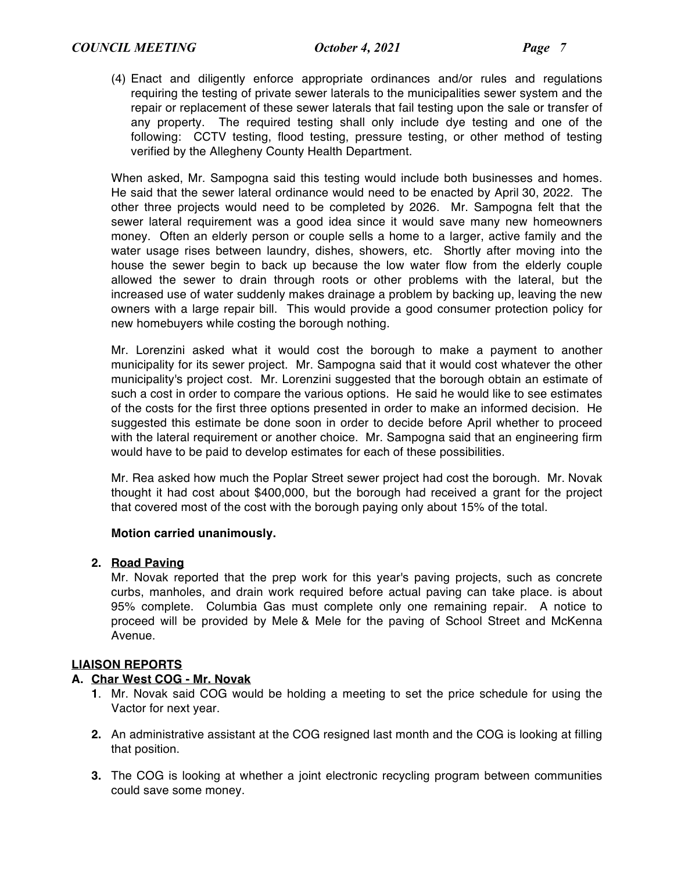(4) Enact and diligently enforce appropriate ordinances and/or rules and regulations requiring the testing of private sewer laterals to the municipalities sewer system and the repair or replacement of these sewer laterals that fail testing upon the sale or transfer of any property. The required testing shall only include dye testing and one of the following: CCTV testing, flood testing, pressure testing, or other method of testing verified by the Allegheny County Health Department.

When asked, Mr. Sampogna said this testing would include both businesses and homes. He said that the sewer lateral ordinance would need to be enacted by April 30, 2022. The other three projects would need to be completed by 2026. Mr. Sampogna felt that the sewer lateral requirement was a good idea since it would save many new homeowners money. Often an elderly person or couple sells a home to a larger, active family and the water usage rises between laundry, dishes, showers, etc. Shortly after moving into the house the sewer begin to back up because the low water flow from the elderly couple allowed the sewer to drain through roots or other problems with the lateral, but the increased use of water suddenly makes drainage a problem by backing up, leaving the new owners with a large repair bill. This would provide a good consumer protection policy for new homebuyers while costing the borough nothing.

Mr. Lorenzini asked what it would cost the borough to make a payment to another municipality for its sewer project. Mr. Sampogna said that it would cost whatever the other municipality's project cost. Mr. Lorenzini suggested that the borough obtain an estimate of such a cost in order to compare the various options. He said he would like to see estimates of the costs for the first three options presented in order to make an informed decision. He suggested this estimate be done soon in order to decide before April whether to proceed with the lateral requirement or another choice. Mr. Sampogna said that an engineering firm would have to be paid to develop estimates for each of these possibilities.

Mr. Rea asked how much the Poplar Street sewer project had cost the borough. Mr. Novak thought it had cost about \$400,000, but the borough had received a grant for the project that covered most of the cost with the borough paying only about 15% of the total.

# **Motion carried unanimously.**

# **2. Road Paving**

Mr. Novak reported that the prep work for this year's paving projects, such as concrete curbs, manholes, and drain work required before actual paving can take place. is about 95% complete. Columbia Gas must complete only one remaining repair. A notice to proceed will be provided by Mele & Mele for the paving of School Street and McKenna Avenue.

#### **LIAISON REPORTS**

#### **A. Char West COG - Mr. Novak**

- **1**. Mr. Novak said COG would be holding a meeting to set the price schedule for using the Vactor for next year.
- **2.** An administrative assistant at the COG resigned last month and the COG is looking at filling that position.
- **3.** The COG is looking at whether a joint electronic recycling program between communities could save some money.